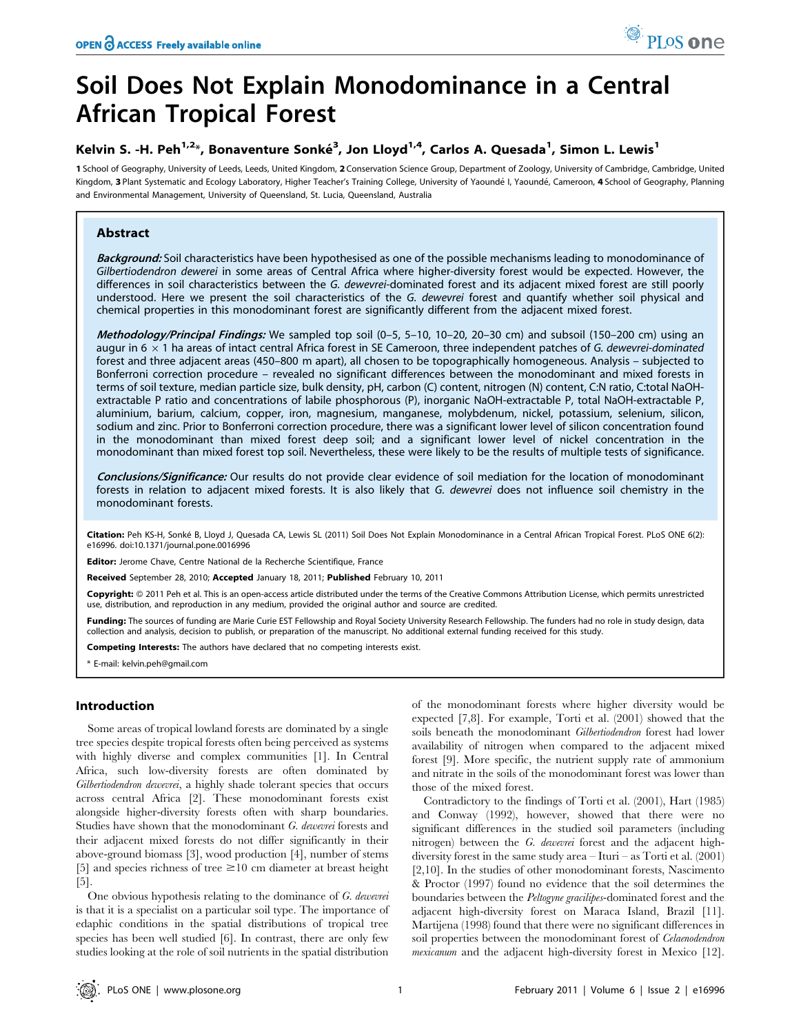# Soil Does Not Explain Monodominance in a Central African Tropical Forest

## Kelvin S. -H. Peh<sup>1,2</sup>\*, Bonaventure Sonké<sup>3</sup>, Jon Lloyd<sup>1,4</sup>, Carlos A. Quesada<sup>1</sup>, Simon L. Lewis<sup>1</sup>

1 School of Geography, University of Leeds, Leeds, United Kingdom, 2 Conservation Science Group, Department of Zoology, University of Cambridge, Cambridge, United Kingdom, 3 Plant Systematic and Ecology Laboratory, Higher Teacher's Training College, University of Yaoundé I, Yaoundé, Cameroon, 4 School of Geography, Planning and Environmental Management, University of Queensland, St. Lucia, Queensland, Australia

## Abstract

Background: Soil characteristics have been hypothesised as one of the possible mechanisms leading to monodominance of Gilbertiodendron dewerei in some areas of Central Africa where higher-diversity forest would be expected. However, the differences in soil characteristics between the G. dewevrei-dominated forest and its adjacent mixed forest are still poorly understood. Here we present the soil characteristics of the G. dewevrei forest and quantify whether soil physical and chemical properties in this monodominant forest are significantly different from the adjacent mixed forest.

Methodology/Principal Findings: We sampled top soil (0-5, 5-10, 10-20, 20-30 cm) and subsoil (150-200 cm) using an augur in  $6 \times 1$  ha areas of intact central Africa forest in SE Cameroon, three independent patches of G. dewevrei-dominated forest and three adjacent areas (450–800 m apart), all chosen to be topographically homogeneous. Analysis – subjected to Bonferroni correction procedure – revealed no significant differences between the monodominant and mixed forests in terms of soil texture, median particle size, bulk density, pH, carbon (C) content, nitrogen (N) content, C:N ratio, C:total NaOHextractable P ratio and concentrations of labile phosphorous (P), inorganic NaOH-extractable P, total NaOH-extractable P, aluminium, barium, calcium, copper, iron, magnesium, manganese, molybdenum, nickel, potassium, selenium, silicon, sodium and zinc. Prior to Bonferroni correction procedure, there was a significant lower level of silicon concentration found in the monodominant than mixed forest deep soil; and a significant lower level of nickel concentration in the monodominant than mixed forest top soil. Nevertheless, these were likely to be the results of multiple tests of significance.

Conclusions/Significance: Our results do not provide clear evidence of soil mediation for the location of monodominant forests in relation to adjacent mixed forests. It is also likely that G. dewevrei does not influence soil chemistry in the monodominant forests.

Citation: Peh KS-H, Sonké B, Lloyd J, Quesada CA, Lewis SL (2011) Soil Does Not Explain Monodominance in a Central African Tropical Forest. PLoS ONE 6(2): e16996. doi:10.1371/journal.pone.0016996

Editor: Jerome Chave, Centre National de la Recherche Scientifique, France

Received September 28, 2010; Accepted January 18, 2011; Published February 10, 2011

**Copyright:** © 2011 Peh et al. This is an open-access article distributed under the terms of the Creative Commons Attribution License, which permits unrestricted use, distribution, and reproduction in any medium, provided the original author and source are credited.

Funding: The sources of funding are Marie Curie EST Fellowship and Royal Society University Research Fellowship. The funders had no role in study design, data collection and analysis, decision to publish, or preparation of the manuscript. No additional external funding received for this study.

Competing Interests: The authors have declared that no competing interests exist.

\* E-mail: kelvin.peh@gmail.com

### Introduction

Some areas of tropical lowland forests are dominated by a single tree species despite tropical forests often being perceived as systems with highly diverse and complex communities [1]. In Central Africa, such low-diversity forests are often dominated by Gilbertiodendron dewevrei, a highly shade tolerant species that occurs across central Africa [2]. These monodominant forests exist alongside higher-diversity forests often with sharp boundaries. Studies have shown that the monodominant G. dewevrei forests and their adjacent mixed forests do not differ significantly in their above-ground biomass [3], wood production [4], number of stems [5] and species richness of tree  $\geq 10$  cm diameter at breast height [5].

One obvious hypothesis relating to the dominance of G. dewevrei is that it is a specialist on a particular soil type. The importance of edaphic conditions in the spatial distributions of tropical tree species has been well studied [6]. In contrast, there are only few studies looking at the role of soil nutrients in the spatial distribution

of the monodominant forests where higher diversity would be expected [7,8]. For example, Torti et al. (2001) showed that the soils beneath the monodominant Gilbertiodendron forest had lower availability of nitrogen when compared to the adjacent mixed forest [9]. More specific, the nutrient supply rate of ammonium and nitrate in the soils of the monodominant forest was lower than those of the mixed forest.

Contradictory to the findings of Torti et al. (2001), Hart (1985) and Conway (1992), however, showed that there were no significant differences in the studied soil parameters (including nitrogen) between the G. dewevrei forest and the adjacent highdiversity forest in the same study area – Ituri – as Torti et al. (2001) [2,10]. In the studies of other monodominant forests, Nascimento & Proctor (1997) found no evidence that the soil determines the boundaries between the Peltogyne gracilipes-dominated forest and the adjacent high-diversity forest on Maraca Island, Brazil [11]. Martijena (1998) found that there were no significant differences in soil properties between the monodominant forest of Celaenodendron mexicanum and the adjacent high-diversity forest in Mexico [12].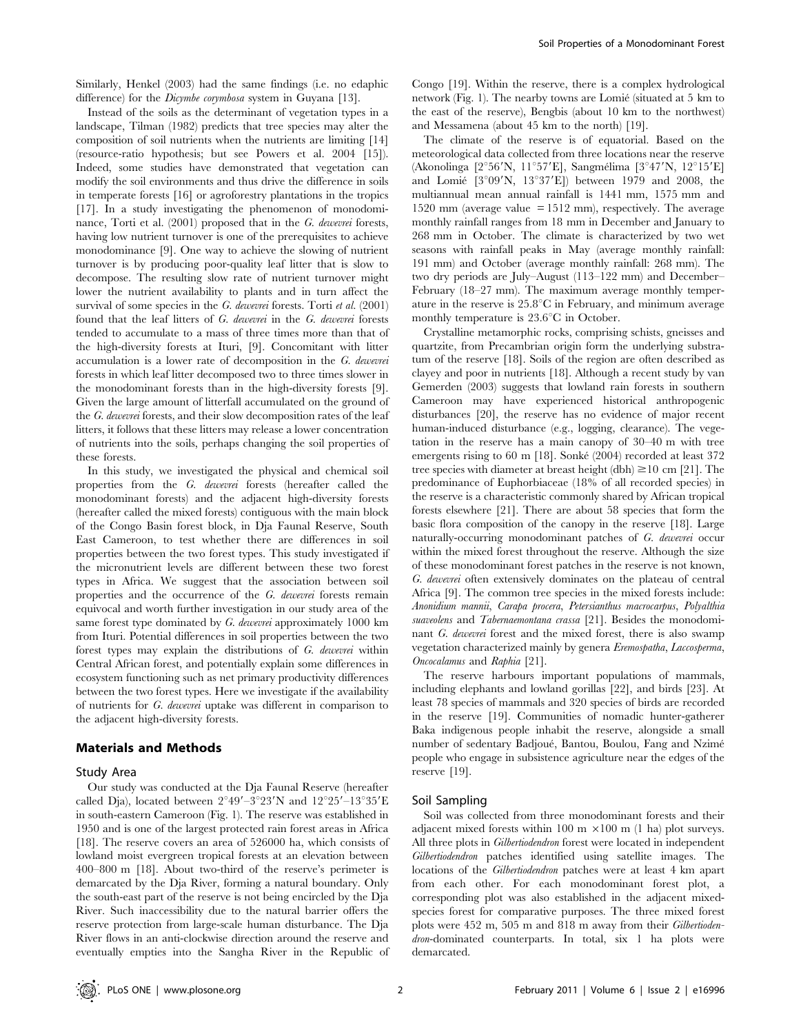Similarly, Henkel (2003) had the same findings (i.e. no edaphic difference) for the *Dicymbe corymbosa* system in Guyana [13].

Instead of the soils as the determinant of vegetation types in a landscape, Tilman (1982) predicts that tree species may alter the composition of soil nutrients when the nutrients are limiting [14] (resource-ratio hypothesis; but see Powers et al. 2004 [15]). Indeed, some studies have demonstrated that vegetation can modify the soil environments and thus drive the difference in soils in temperate forests [16] or agroforestry plantations in the tropics [17]. In a study investigating the phenomenon of monodominance, Torti et al. (2001) proposed that in the G. dewevrei forests, having low nutrient turnover is one of the prerequisites to achieve monodominance [9]. One way to achieve the slowing of nutrient turnover is by producing poor-quality leaf litter that is slow to decompose. The resulting slow rate of nutrient turnover might lower the nutrient availability to plants and in turn affect the survival of some species in the G. dewevrei forests. Torti et al. (2001) found that the leaf litters of G. dewevrei in the G. dewevrei forests tended to accumulate to a mass of three times more than that of the high-diversity forests at Ituri, [9]. Concomitant with litter accumulation is a lower rate of decomposition in the G. dewevrei forests in which leaf litter decomposed two to three times slower in the monodominant forests than in the high-diversity forests [9]. Given the large amount of litterfall accumulated on the ground of the G. dewevrei forests, and their slow decomposition rates of the leaf litters, it follows that these litters may release a lower concentration of nutrients into the soils, perhaps changing the soil properties of these forests.

In this study, we investigated the physical and chemical soil properties from the G. dewevrei forests (hereafter called the monodominant forests) and the adjacent high-diversity forests (hereafter called the mixed forests) contiguous with the main block of the Congo Basin forest block, in Dja Faunal Reserve, South East Cameroon, to test whether there are differences in soil properties between the two forest types. This study investigated if the micronutrient levels are different between these two forest types in Africa. We suggest that the association between soil properties and the occurrence of the G. dewevrei forests remain equivocal and worth further investigation in our study area of the same forest type dominated by G. dewevrei approximately 1000 km from Ituri. Potential differences in soil properties between the two forest types may explain the distributions of G. dewevrei within Central African forest, and potentially explain some differences in ecosystem functioning such as net primary productivity differences between the two forest types. Here we investigate if the availability of nutrients for G. dewevrei uptake was different in comparison to the adjacent high-diversity forests.

#### Materials and Methods

#### Study Area

Our study was conducted at the Dja Faunal Reserve (hereafter called Dja), located between  $2^{\circ}49' - 3^{\circ}23'N$  and  $12^{\circ}25' - 13^{\circ}35'E$ in south-eastern Cameroon (Fig. 1). The reserve was established in 1950 and is one of the largest protected rain forest areas in Africa [18]. The reserve covers an area of 526000 ha, which consists of lowland moist evergreen tropical forests at an elevation between 400–800 m [18]. About two-third of the reserve's perimeter is demarcated by the Dja River, forming a natural boundary. Only the south-east part of the reserve is not being encircled by the Dja River. Such inaccessibility due to the natural barrier offers the reserve protection from large-scale human disturbance. The Dja River flows in an anti-clockwise direction around the reserve and eventually empties into the Sangha River in the Republic of Congo [19]. Within the reserve, there is a complex hydrological network (Fig. 1). The nearby towns are Lomié (situated at 5 km to the east of the reserve), Bengbis (about 10 km to the northwest) and Messamena (about 45 km to the north) [19].

The climate of the reserve is of equatorial. Based on the meteorological data collected from three locations near the reserve (Akonolinga [2°56'N, 11°57'E], Sangmélima [3°47'N, 12°15'E] and Lomié  $[3^{\circ}09'N, 13^{\circ}37'E]$  between 1979 and 2008, the multiannual mean annual rainfall is 1441 mm, 1575 mm and 1520 mm (average value  $= 1512$  mm), respectively. The average monthly rainfall ranges from 18 mm in December and January to 268 mm in October. The climate is characterized by two wet seasons with rainfall peaks in May (average monthly rainfall: 191 mm) and October (average monthly rainfall: 268 mm). The two dry periods are July–August (113–122 mm) and December– February (18–27 mm). The maximum average monthly temperature in the reserve is  $25.8^{\circ}$ C in February, and minimum average monthly temperature is  $23.6^{\circ}$ C in October.

Crystalline metamorphic rocks, comprising schists, gneisses and quartzite, from Precambrian origin form the underlying substratum of the reserve [18]. Soils of the region are often described as clayey and poor in nutrients [18]. Although a recent study by van Gemerden (2003) suggests that lowland rain forests in southern Cameroon may have experienced historical anthropogenic disturbances [20], the reserve has no evidence of major recent human-induced disturbance (e.g., logging, clearance). The vegetation in the reserve has a main canopy of 30–40 m with tree emergents rising to 60 m [18]. Sonké (2004) recorded at least 372 tree species with diameter at breast height (dbh)  $\geq 10$  cm [21]. The predominance of Euphorbiaceae (18% of all recorded species) in the reserve is a characteristic commonly shared by African tropical forests elsewhere [21]. There are about 58 species that form the basic flora composition of the canopy in the reserve [18]. Large naturally-occurring monodominant patches of G. dewevrei occur within the mixed forest throughout the reserve. Although the size of these monodominant forest patches in the reserve is not known, G. dewevrei often extensively dominates on the plateau of central Africa [9]. The common tree species in the mixed forests include: Anonidium mannii, Carapa procera, Petersianthus macrocarpus, Polyalthia suaveolens and Tabernaemontana crassa [21]. Besides the monodominant G. dewevrei forest and the mixed forest, there is also swamp vegetation characterized mainly by genera Eremospatha, Laccosperma, Oncocalamus and Raphia [21].

The reserve harbours important populations of mammals, including elephants and lowland gorillas [22], and birds [23]. At least 78 species of mammals and 320 species of birds are recorded in the reserve [19]. Communities of nomadic hunter-gatherer Baka indigenous people inhabit the reserve, alongside a small number of sedentary Badjoué, Bantou, Boulou, Fang and Nzimé people who engage in subsistence agriculture near the edges of the reserve [19].

#### Soil Sampling

Soil was collected from three monodominant forests and their adjacent mixed forests within 100 m  $\times$ 100 m (1 ha) plot surveys. All three plots in Gilbertiodendron forest were located in independent Gilbertiodendron patches identified using satellite images. The locations of the Gilbertiodendron patches were at least 4 km apart from each other. For each monodominant forest plot, a corresponding plot was also established in the adjacent mixedspecies forest for comparative purposes. The three mixed forest plots were 452 m, 505 m and 818 m away from their Gilbertiodendron-dominated counterparts. In total, six 1 ha plots were demarcated.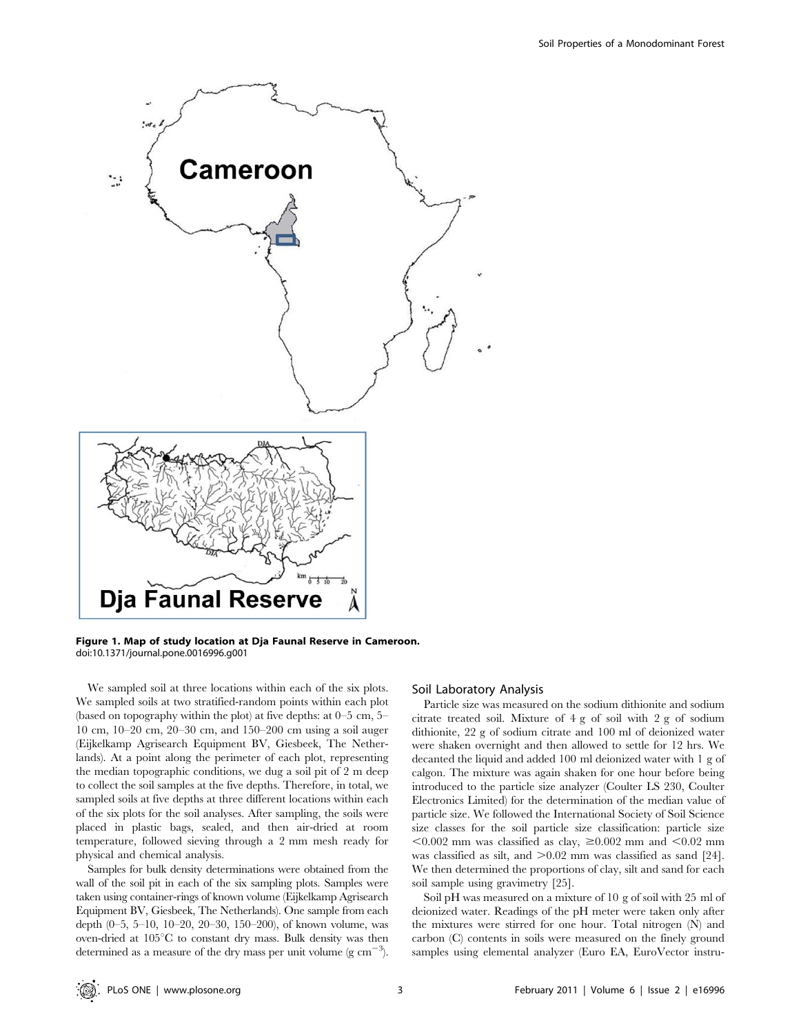

Figure 1. Map of study location at Dja Faunal Reserve in Cameroon. doi:10.1371/journal.pone.0016996.g001

We sampled soil at three locations within each of the six plots. We sampled soils at two stratified-random points within each plot (based on topography within the plot) at five depths: at  $0-5$  cm,  $5-$ 10 cm, 10–20 cm, 20–30 cm, and 150–200 cm using a soil auger (Eijkelkamp Agrisearch Equipment BV, Giesbeek, The Netherlands). At a point along the perimeter of each plot, representing the median topographic conditions, we dug a soil pit of 2 m deep to collect the soil samples at the five depths. Therefore, in total, we sampled soils at five depths at three different locations within each of the six plots for the soil analyses. After sampling, the soils were placed in plastic bags, sealed, and then air-dried at room temperature, followed sieving through a 2 mm mesh ready for physical and chemical analysis.

Samples for bulk density determinations were obtained from the wall of the soil pit in each of the six sampling plots. Samples were taken using container-rings of known volume (Eijkelkamp Agrisearch Equipment BV, Giesbeek, The Netherlands). One sample from each depth (0–5, 5–10, 10–20, 20–30, 150–200), of known volume, was oven-dried at  $105^{\circ}$ C to constant dry mass. Bulk density was then determined as a measure of the dry mass per unit volume (g  $cm^{-3}$ ).

#### Soil Laboratory Analysis

Particle size was measured on the sodium dithionite and sodium citrate treated soil. Mixture of 4 g of soil with 2 g of sodium dithionite, 22 g of sodium citrate and 100 ml of deionized water were shaken overnight and then allowed to settle for 12 hrs. We decanted the liquid and added 100 ml deionized water with 1 g of calgon. The mixture was again shaken for one hour before being introduced to the particle size analyzer (Coulter LS 230, Coulter Electronics Limited) for the determination of the median value of particle size. We followed the International Society of Soil Science size classes for the soil particle size classification: particle size  $< 0.002$  mm was classified as clay,  $\ge 0.002$  mm and  $< 0.02$  mm was classified as silt, and  $>0.02$  mm was classified as sand [24]. We then determined the proportions of clay, silt and sand for each soil sample using gravimetry [25].

Soil pH was measured on a mixture of 10 g of soil with 25 ml of deionized water. Readings of the pH meter were taken only after the mixtures were stirred for one hour. Total nitrogen (N) and carbon (C) contents in soils were measured on the finely ground samples using elemental analyzer (Euro EA, EuroVector instru-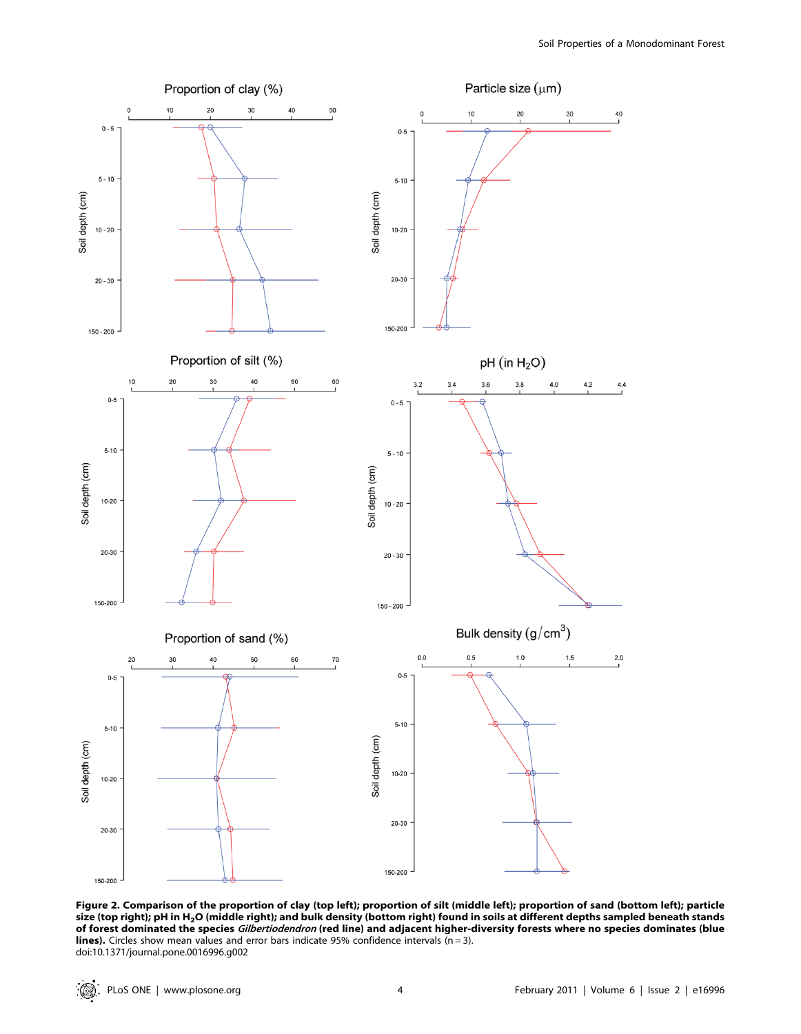

Figure 2. Comparison of the proportion of clay (top left); proportion of silt (middle left); proportion of sand (bottom left); particle size (top right); pH in H<sub>2</sub>O (middle right); and bulk density (bottom right) found in soils at different depths sampled beneath stands of forest dominated the species *Gilbertiodendron* (red line) and adjacent higher-diversity forests where no species dominates (blue lines). Circles show mean values and error bars indicate 95% confidence intervals  $(n=3)$ . doi:10.1371/journal.pone.0016996.g002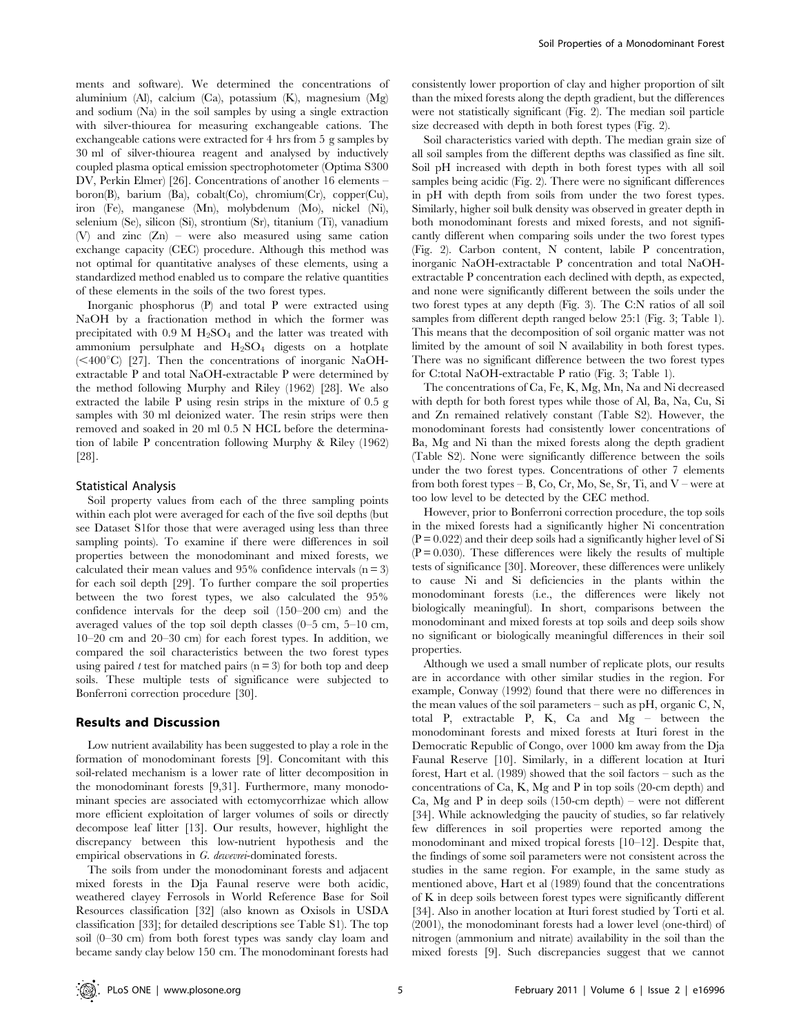ments and software). We determined the concentrations of aluminium (Al), calcium (Ca), potassium (K), magnesium (Mg) and sodium (Na) in the soil samples by using a single extraction with silver-thiourea for measuring exchangeable cations. The exchangeable cations were extracted for 4 hrs from 5 g samples by 30 ml of silver-thiourea reagent and analysed by inductively coupled plasma optical emission spectrophotometer (Optima S300 DV, Perkin Elmer) [26]. Concentrations of another 16 elements – boron(B), barium (Ba), cobalt(Co), chromium(Cr), copper(Cu), iron (Fe), manganese (Mn), molybdenum (Mo), nickel (Ni), selenium (Se), silicon (Si), strontium (Sr), titanium (Ti), vanadium (V) and zinc (Zn) – were also measured using same cation exchange capacity (CEC) procedure. Although this method was not optimal for quantitative analyses of these elements, using a standardized method enabled us to compare the relative quantities of these elements in the soils of the two forest types.

Inorganic phosphorus (P) and total P were extracted using NaOH by a fractionation method in which the former was precipitated with  $0.9 \text{ M H}_2$ SO<sub>4</sub> and the latter was treated with ammonium persulphate and  $H_2SO_4$  digests on a hotplate  $(< 400^{\circ}C$ ) [27]. Then the concentrations of inorganic NaOHextractable P and total NaOH-extractable P were determined by the method following Murphy and Riley (1962) [28]. We also extracted the labile P using resin strips in the mixture of 0.5 g samples with 30 ml deionized water. The resin strips were then removed and soaked in 20 ml 0.5 N HCL before the determination of labile P concentration following Murphy & Riley (1962) [28].

#### Statistical Analysis

Soil property values from each of the three sampling points within each plot were averaged for each of the five soil depths (but see Dataset S1for those that were averaged using less than three sampling points). To examine if there were differences in soil properties between the monodominant and mixed forests, we calculated their mean values and  $95\%$  confidence intervals (n = 3) for each soil depth [29]. To further compare the soil properties between the two forest types, we also calculated the 95% confidence intervals for the deep soil (150–200 cm) and the averaged values of the top soil depth classes (0–5 cm, 5–10 cm, 10–20 cm and 20–30 cm) for each forest types. In addition, we compared the soil characteristics between the two forest types using paired t test for matched pairs ( $n = 3$ ) for both top and deep soils. These multiple tests of significance were subjected to Bonferroni correction procedure [30].

#### Results and Discussion

Low nutrient availability has been suggested to play a role in the formation of monodominant forests [9]. Concomitant with this soil-related mechanism is a lower rate of litter decomposition in the monodominant forests [9,31]. Furthermore, many monodominant species are associated with ectomycorrhizae which allow more efficient exploitation of larger volumes of soils or directly decompose leaf litter [13]. Our results, however, highlight the discrepancy between this low-nutrient hypothesis and the empirical observations in G. dewevrei-dominated forests.

The soils from under the monodominant forests and adjacent mixed forests in the Dja Faunal reserve were both acidic, weathered clayey Ferrosols in World Reference Base for Soil Resources classification [32] (also known as Oxisols in USDA classification [33]; for detailed descriptions see Table S1). The top soil (0–30 cm) from both forest types was sandy clay loam and became sandy clay below 150 cm. The monodominant forests had

consistently lower proportion of clay and higher proportion of silt than the mixed forests along the depth gradient, but the differences were not statistically significant (Fig. 2). The median soil particle size decreased with depth in both forest types (Fig. 2).

Soil characteristics varied with depth. The median grain size of all soil samples from the different depths was classified as fine silt. Soil pH increased with depth in both forest types with all soil samples being acidic (Fig. 2). There were no significant differences in pH with depth from soils from under the two forest types. Similarly, higher soil bulk density was observed in greater depth in both monodominant forests and mixed forests, and not significantly different when comparing soils under the two forest types (Fig. 2). Carbon content, N content, labile P concentration, inorganic NaOH-extractable P concentration and total NaOHextractable P concentration each declined with depth, as expected, and none were significantly different between the soils under the two forest types at any depth (Fig. 3). The C:N ratios of all soil samples from different depth ranged below 25:1 (Fig. 3; Table 1). This means that the decomposition of soil organic matter was not limited by the amount of soil N availability in both forest types. There was no significant difference between the two forest types for C:total NaOH-extractable P ratio (Fig. 3; Table 1).

The concentrations of Ca, Fe, K, Mg, Mn, Na and Ni decreased with depth for both forest types while those of Al, Ba, Na, Cu, Si and Zn remained relatively constant (Table S2). However, the monodominant forests had consistently lower concentrations of Ba, Mg and Ni than the mixed forests along the depth gradient (Table S2). None were significantly difference between the soils under the two forest types. Concentrations of other 7 elements from both forest types  $-$  B, Co, Cr, Mo, Se, Sr, Ti, and V – were at too low level to be detected by the CEC method.

However, prior to Bonferroni correction procedure, the top soils in the mixed forests had a significantly higher Ni concentration  $(P = 0.022)$  and their deep soils had a significantly higher level of Si  $(P = 0.030)$ . These differences were likely the results of multiple tests of significance [30]. Moreover, these differences were unlikely to cause Ni and Si deficiencies in the plants within the monodominant forests (i.e., the differences were likely not biologically meaningful). In short, comparisons between the monodominant and mixed forests at top soils and deep soils show no significant or biologically meaningful differences in their soil properties.

Although we used a small number of replicate plots, our results are in accordance with other similar studies in the region. For example, Conway (1992) found that there were no differences in the mean values of the soil parameters – such as pH, organic C, N, total P, extractable P, K, Ca and Mg – between the monodominant forests and mixed forests at Ituri forest in the Democratic Republic of Congo, over 1000 km away from the Dja Faunal Reserve [10]. Similarly, in a different location at Ituri forest, Hart et al. (1989) showed that the soil factors – such as the concentrations of Ca, K, Mg and P in top soils (20-cm depth) and Ca, Mg and P in deep soils  $(150$ -cm depth) – were not different [34]. While acknowledging the paucity of studies, so far relatively few differences in soil properties were reported among the monodominant and mixed tropical forests [10–12]. Despite that, the findings of some soil parameters were not consistent across the studies in the same region. For example, in the same study as mentioned above, Hart et al (1989) found that the concentrations of K in deep soils between forest types were significantly different [34]. Also in another location at Ituri forest studied by Torti et al. (2001), the monodominant forests had a lower level (one-third) of nitrogen (ammonium and nitrate) availability in the soil than the mixed forests [9]. Such discrepancies suggest that we cannot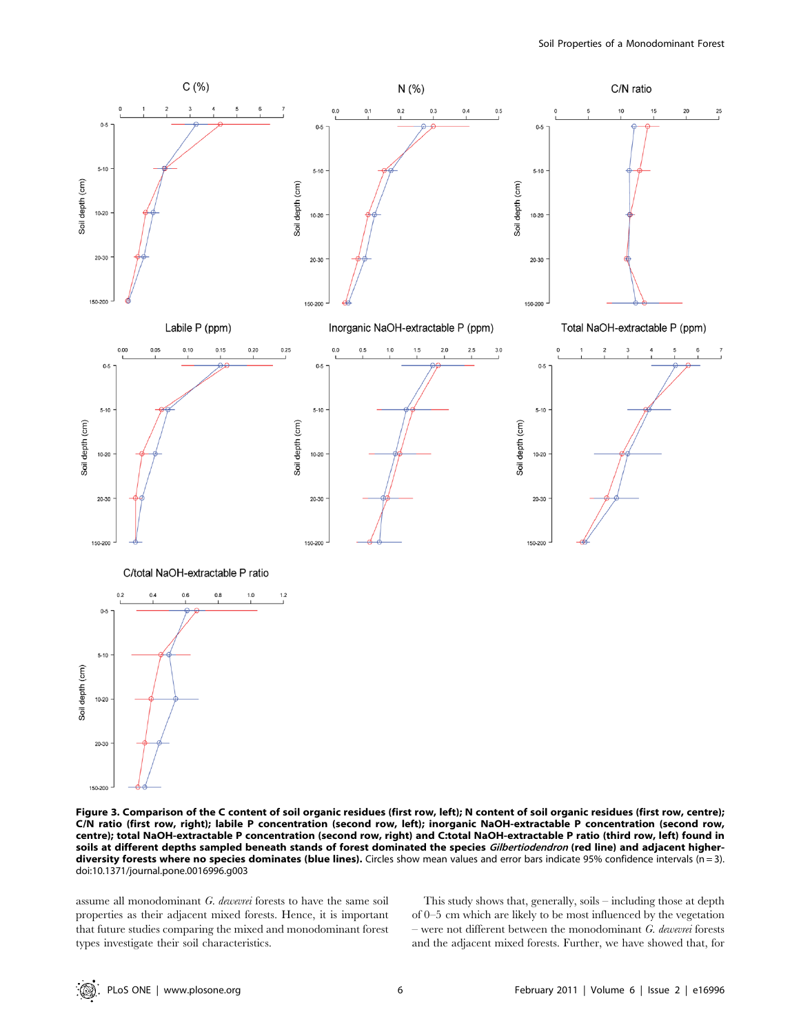

Figure 3. Comparison of the C content of soil organic residues (first row, left); N content of soil organic residues (first row, centre); C/N ratio (first row, right); labile P concentration (second row, left); inorganic NaOH-extractable P concentration (second row, centre); total NaOH-extractable P concentration (second row, right) and C:total NaOH-extractable P ratio (third row, left) found in soils at different depths sampled beneath stands of forest dominated the species Gilbertiodendron (red line) and adjacent higherdiversity forests where no species dominates (blue lines). Circles show mean values and error bars indicate 95% confidence intervals (n = 3). doi:10.1371/journal.pone.0016996.g003

assume all monodominant G. dewevrei forests to have the same soil properties as their adjacent mixed forests. Hence, it is important that future studies comparing the mixed and monodominant forest types investigate their soil characteristics.

This study shows that, generally, soils – including those at depth of 0–5 cm which are likely to be most influenced by the vegetation – were not different between the monodominant  $G$ . dewevrei forests and the adjacent mixed forests. Further, we have showed that, for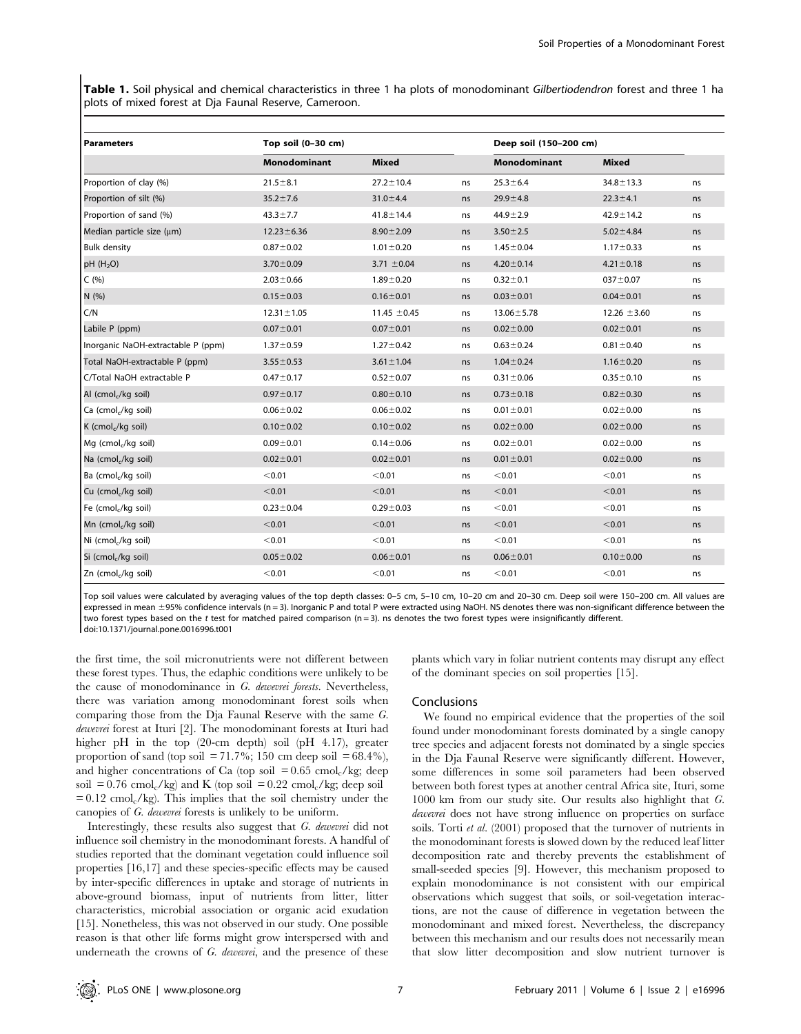Table 1. Soil physical and chemical characteristics in three 1 ha plots of monodominant Gilbertiodendron forest and three 1 ha plots of mixed forest at Dja Faunal Reserve, Cameroon.

| <b>Parameters</b>                  | Top soil (0-30 cm) |                  |    | Deep soil (150-200 cm) |                  |    |
|------------------------------------|--------------------|------------------|----|------------------------|------------------|----|
|                                    | Monodominant       | <b>Mixed</b>     |    | Monodominant           | <b>Mixed</b>     |    |
| Proportion of clay (%)             | $21.5 \pm 8.1$     | $27.2 \pm 10.4$  | ns | $25.3 \pm 6.4$         | $34.8 \pm 13.3$  | ns |
| Proportion of silt (%)             | $35.2 \pm 7.6$     | $31.0 + 4.4$     | ns | $29.9 \pm 4.8$         | $22.3 \pm 4.1$   | ns |
| Proportion of sand (%)             | $43.3 \pm 7.7$     | $41.8 \pm 14.4$  | ns | $44.9 \pm 2.9$         | $42.9 \pm 14.2$  | ns |
| Median particle size (µm)          | $12.23 \pm 6.36$   | $8.90 \pm 2.09$  | ns | $3.50 \pm 2.5$         | $5.02 \pm 4.84$  | ns |
| <b>Bulk density</b>                | $0.87 + 0.02$      | $1.01 \pm 0.20$  | ns | $1.45 \pm 0.04$        | $1.17 \pm 0.33$  | ns |
| pH (H <sub>2</sub> O)              | $3.70 \pm 0.09$    | 3.71 $\pm$ 0.04  | ns | $4.20 \pm 0.14$        | $4.21 \pm 0.18$  | ns |
| C(%)                               | $2.03 \pm 0.66$    | $1.89 + 0.20$    | ns | $0.32 \pm 0.1$         | $037 + 0.07$     | ns |
| N (%)                              | $0.15 \pm 0.03$    | $0.16 \pm 0.01$  | ns | $0.03 \pm 0.01$        | $0.04 \pm 0.01$  | ns |
| C/N                                | $12.31 \pm 1.05$   | 11.45 $\pm$ 0.45 | ns | $13.06 \pm 5.78$       | $12.26 \pm 3.60$ | ns |
| Labile P (ppm)                     | $0.07 + 0.01$      | $0.07 + 0.01$    | ns | $0.02 \pm 0.00$        | $0.02 \pm 0.01$  | ns |
| Inorganic NaOH-extractable P (ppm) | $1.37 \pm 0.59$    | $1.27 \pm 0.42$  | ns | $0.63 \pm 0.24$        | $0.81 \pm 0.40$  | ns |
| Total NaOH-extractable P (ppm)     | $3.55 \pm 0.53$    | $3.61 \pm 1.04$  | ns | $1.04 \pm 0.24$        | $1.16 \pm 0.20$  | ns |
| C/Total NaOH extractable P         | $0.47 \pm 0.17$    | $0.52 \pm 0.07$  | ns | $0.31 \pm 0.06$        | $0.35 \pm 0.10$  | ns |
| Al (cmol <sub>c</sub> /kg soil)    | $0.97 \pm 0.17$    | $0.80 \pm 0.10$  | ns | $0.73 \pm 0.18$        | $0.82 \pm 0.30$  | ns |
| Ca (cmol,/kg soil)                 | $0.06 + 0.02$      | $0.06 \pm 0.02$  | ns | $0.01 \pm 0.01$        | $0.02 \pm 0.00$  | ns |
| K (cmol <sub>c</sub> /kg soil)     | $0.10 + 0.02$      | $0.10 \pm 0.02$  | ns | $0.02 \pm 0.00$        | $0.02 \pm 0.00$  | ns |
| Mg (cmol <sub>c</sub> /kg soil)    | $0.09 + 0.01$      | $0.14 \pm 0.06$  | ns | $0.02 \pm 0.01$        | $0.02 \pm 0.00$  | ns |
| Na (cmol <sub>c</sub> /kg soil)    | $0.02 \pm 0.01$    | $0.02 \pm 0.01$  | ns | $0.01 \pm 0.01$        | $0.02 \pm 0.00$  | ns |
| Ba (cmol <sub>c</sub> /kg soil)    | < 0.01             | < 0.01           | ns | < 0.01                 | < 0.01           | ns |
| Cu (cmol,/kg soil)                 | < 0.01             | < 0.01           | ns | < 0.01                 | < 0.01           | ns |
| Fe (cmol <sub>c</sub> /kg soil)    | $0.23 \pm 0.04$    | $0.29 + 0.03$    | ns | < 0.01                 | < 0.01           | ns |
| Mn (cmol <sub>c</sub> /kg soil)    | < 0.01             | < 0.01           | ns | < 0.01                 | < 0.01           | ns |
| Ni (cmol <sub>c</sub> /kg soil)    | < 0.01             | < 0.01           | ns | < 0.01                 | < 0.01           | ns |
| Si (cmol <sub>c</sub> /kg soil)    | $0.05 \pm 0.02$    | $0.06 \pm 0.01$  | ns | $0.06 \pm 0.01$        | $0.10 \pm 0.00$  | ns |
| Zn (cmol <sub>c</sub> /kg soil)    | < 0.01             | < 0.01           | ns | < 0.01                 | < 0.01           | ns |

Top soil values were calculated by averaging values of the top depth classes: 0–5 cm, 5–10 cm, 10–20 cm and 20–30 cm. Deep soil were 150–200 cm. All values are expressed in mean ±95% confidence intervals (n = 3). Inorganic P and total P were extracted using NaOH. NS denotes there was non-significant difference between the two forest types based on the t test for matched paired comparison  $(n = 3)$ . ns denotes the two forest types were insignificantly different. doi:10.1371/journal.pone.0016996.t001

the first time, the soil micronutrients were not different between these forest types. Thus, the edaphic conditions were unlikely to be the cause of monodominance in G. dewevrei forests. Nevertheless, there was variation among monodominant forest soils when comparing those from the Dja Faunal Reserve with the same G. dewevrei forest at Ituri [2]. The monodominant forests at Ituri had higher pH in the top (20-cm depth) soil (pH 4.17), greater proportion of sand (top soil = 71.7%; 150 cm deep soil =  $68.4\%$ ), and higher concentrations of Ca (top soil  $= 0.65$  cmol<sub>c</sub>/kg; deep soil =  $0.76 \text{ cmol}_c/\text{kg}$  and K (top soil =  $0.22 \text{ cmol}_c/\text{kg}$ ; deep soil  $= 0.12$  cmol<sub>c</sub>/kg). This implies that the soil chemistry under the canopies of G. dewevrei forests is unlikely to be uniform.

Interestingly, these results also suggest that G. dewevrei did not influence soil chemistry in the monodominant forests. A handful of studies reported that the dominant vegetation could influence soil properties [16,17] and these species-specific effects may be caused by inter-specific differences in uptake and storage of nutrients in above-ground biomass, input of nutrients from litter, litter characteristics, microbial association or organic acid exudation [15]. Nonetheless, this was not observed in our study. One possible reason is that other life forms might grow interspersed with and underneath the crowns of G. dewevrei, and the presence of these

plants which vary in foliar nutrient contents may disrupt any effect of the dominant species on soil properties [15].

#### Conclusions

We found no empirical evidence that the properties of the soil found under monodominant forests dominated by a single canopy tree species and adjacent forests not dominated by a single species in the Dja Faunal Reserve were significantly different. However, some differences in some soil parameters had been observed between both forest types at another central Africa site, Ituri, some 1000 km from our study site. Our results also highlight that G. dewevrei does not have strong influence on properties on surface soils. Torti et al. (2001) proposed that the turnover of nutrients in the monodominant forests is slowed down by the reduced leaf litter decomposition rate and thereby prevents the establishment of small-seeded species [9]. However, this mechanism proposed to explain monodominance is not consistent with our empirical observations which suggest that soils, or soil-vegetation interactions, are not the cause of difference in vegetation between the monodominant and mixed forest. Nevertheless, the discrepancy between this mechanism and our results does not necessarily mean that slow litter decomposition and slow nutrient turnover is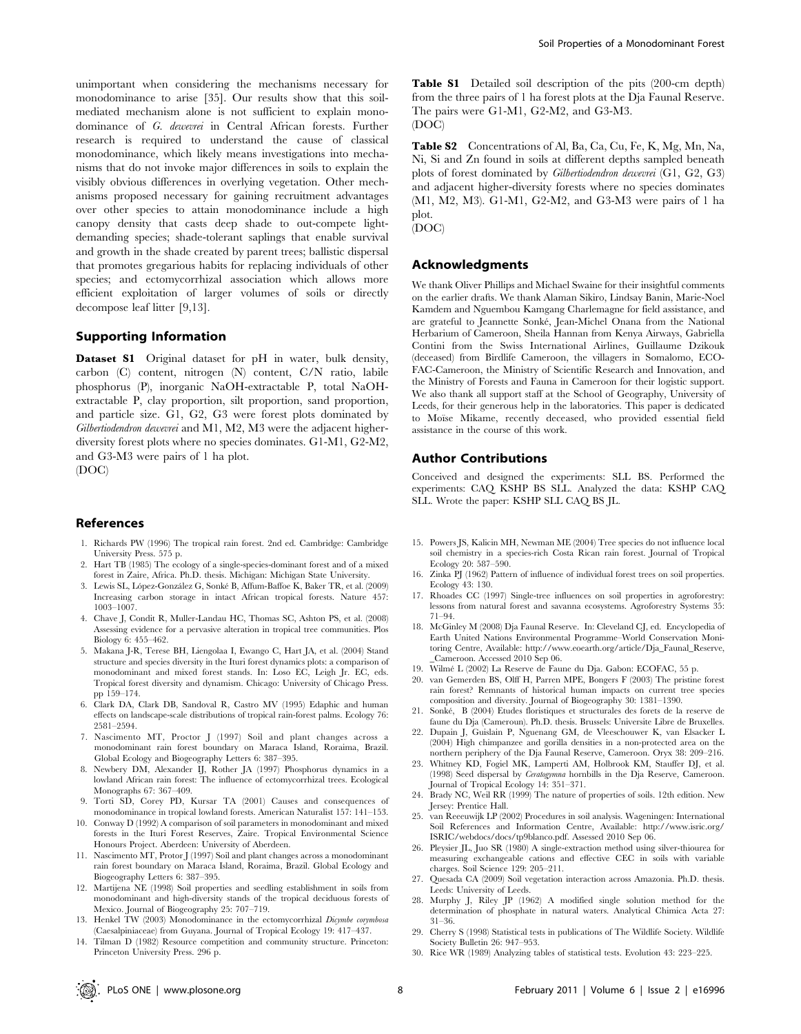unimportant when considering the mechanisms necessary for monodominance to arise [35]. Our results show that this soilmediated mechanism alone is not sufficient to explain monodominance of G. dewevrei in Central African forests. Further research is required to understand the cause of classical monodominance, which likely means investigations into mechanisms that do not invoke major differences in soils to explain the visibly obvious differences in overlying vegetation. Other mechanisms proposed necessary for gaining recruitment advantages over other species to attain monodominance include a high canopy density that casts deep shade to out-compete lightdemanding species; shade-tolerant saplings that enable survival and growth in the shade created by parent trees; ballistic dispersal that promotes gregarious habits for replacing individuals of other species; and ectomycorrhizal association which allows more efficient exploitation of larger volumes of soils or directly decompose leaf litter [9,13].

#### Supporting Information

Dataset S1 Original dataset for pH in water, bulk density, carbon (C) content, nitrogen (N) content, C/N ratio, labile phosphorus (P), inorganic NaOH-extractable P, total NaOHextractable P, clay proportion, silt proportion, sand proportion, and particle size. G1, G2, G3 were forest plots dominated by Gilbertiodendron dewevrei and M1, M2, M3 were the adjacent higherdiversity forest plots where no species dominates. G1-M1, G2-M2, and G3-M3 were pairs of 1 ha plot.

(DOC)

#### References

- 1. Richards PW (1996) The tropical rain forest. 2nd ed. Cambridge: Cambridge University Press. 575 p.
- 2. Hart TB (1985) The ecology of a single-species-dominant forest and of a mixed forest in Zaire, Africa. Ph.D. thesis. Michigan: Michigan State University.
- 3. Lewis SL, López-González G, Sonké B, Affum-Baffoe K, Baker TR, et al. (2009) Increasing carbon storage in intact African tropical forests. Nature 457: 1003–1007.
- 4. Chave J, Condit R, Muller-Landau HC, Thomas SC, Ashton PS, et al. (2008) Assessing evidence for a pervasive alteration in tropical tree communities. Plos Biology 6: 455–462.
- 5. Makana J-R, Terese BH, Liengolaa I, Ewango C, Hart JA, et al. (2004) Stand structure and species diversity in the Ituri forest dynamics plots: a comparison of monodominant and mixed forest stands. In: Loso EC, Leigh Jr. EC, eds. Tropical forest diversity and dynamism. Chicago: University of Chicago Press. pp 159–174.
- 6. Clark DA, Clark DB, Sandoval R, Castro MV (1995) Edaphic and human effects on landscape-scale distributions of tropical rain-forest palms. Ecology 76: 2581–2594.
- 7. Nascimento MT, Proctor J (1997) Soil and plant changes across a monodominant rain forest boundary on Maraca Island, Roraima, Brazil. Global Ecology and Biogeography Letters 6: 387–395.
- 8. Newbery DM, Alexander IJ, Rother JA (1997) Phosphorus dynamics in a lowland African rain forest: The influence of ectomycorrhizal trees. Ecological Monographs 67: 367–409.
- 9. Torti SD, Corey PD, Kursar TA (2001) Causes and consequences of monodominance in tropical lowland forests. American Naturalist 157: 141–153.
- 10. Conway D (1992) A comparison of soil parameters in monodominant and mixed forests in the Ituri Forest Reserves, Zaire. Tropical Environmental Science Honours Project. Aberdeen: University of Aberdeen.
- 11. Nascimento MT, Protor J (1997) Soil and plant changes across a monodominant rain forest boundary on Maraca Island, Roraima, Brazil. Global Ecology and Biogeography Letters 6: 387–395.
- 12. Martijena NE (1998) Soil properties and seedling establishment in soils from monodominant and high-diversity stands of the tropical deciduous forests of Mexico. Journal of Biogeography 25: 707–719.
- 13. Henkel TW (2003) Monodominance in the ectomycorrhizal Dicymbe corymbosa (Caesalpiniaceae) from Guyana. Journal of Tropical Ecology 19: 417–437.
- 14. Tilman D (1982) Resource competition and community structure. Princeton: Princeton University Press. 296 p.

Table S1 Detailed soil description of the pits (200-cm depth) from the three pairs of 1 ha forest plots at the Dja Faunal Reserve. The pairs were G1-M1, G2-M2, and G3-M3. (DOC)

Table S2 Concentrations of Al, Ba, Ca, Cu, Fe, K, Mg, Mn, Na, Ni, Si and Zn found in soils at different depths sampled beneath plots of forest dominated by Gilbertiodendron dewevrei (G1, G2, G3) and adjacent higher-diversity forests where no species dominates (M1, M2, M3). G1-M1, G2-M2, and G3-M3 were pairs of 1 ha plot.

(DOC)

#### Acknowledgments

We thank Oliver Phillips and Michael Swaine for their insightful comments on the earlier drafts. We thank Alaman Sikiro, Lindsay Banin, Marie-Noel Kamdem and Nguembou Kamgang Charlemagne for field assistance, and are grateful to Jeannette Sonke´, Jean-Michel Onana from the National Herbarium of Cameroon, Sheila Hannan from Kenya Airways, Gabriella Contini from the Swiss International Airlines, Guillaume Dzikouk (deceased) from Birdlife Cameroon, the villagers in Somalomo, ECO-FAC-Cameroon, the Ministry of Scientific Research and Innovation, and the Ministry of Forests and Fauna in Cameroon for their logistic support. We also thank all support staff at the School of Geography, University of Leeds, for their generous help in the laboratories. This paper is dedicated to Moïse Mikame, recently deceased, who provided essential field assistance in the course of this work.

#### Author Contributions

Conceived and designed the experiments: SLL BS. Performed the experiments: CAQ KSHP BS SLL. Analyzed the data: KSHP CAQ SLL. Wrote the paper: KSHP SLL CAQ BS JL.

- 15. Powers JS, Kalicin MH, Newman ME (2004) Tree species do not influence local soil chemistry in a species-rich Costa Rican rain forest. Journal of Tropical Ecology 20: 587–590.
- 16. Zinka PJ (1962) Pattern of influence of individual forest trees on soil properties. Ecology 43: 130.
- 17. Rhoades CC (1997) Single-tree influences on soil properties in agroforestry: lessons from natural forest and savanna ecosystems. Agroforestry Systems 35: 71–94.
- 18. McGinley M (2008) Dja Faunal Reserve. In: Cleveland CJ, ed. Encyclopedia of Earth United Nations Environmental Programme–World Conservation Monitoring Centre, Available: http://www.eoearth.org/article/Dja\_Faunal\_Reserve, \_Cameroon. Accessed 2010 Sep 06.
- 19. Wilme´ L (2002) La Reserve de Faune du Dja. Gabon: ECOFAC, 55 p.
- 20. van Gemerden BS, Olff H, Parren MPE, Bongers F (2003) The pristine forest rain forest? Remnants of historical human impacts on current tree species composition and diversity. Journal of Biogeography 30: 1381–1390.
- 21. Sonke´, B (2004) Etudes floristiques et structurales des forets de la reserve de faune du Dja (Cameroun). Ph.D. thesis. Brussels: Universite Libre de Bruxelles.
- 22. Dupain J, Guislain P, Nguenang GM, de Vleeschouwer K, van Elsacker L (2004) High chimpanzee and gorilla densities in a non-protected area on the northern periphery of the Dja Faunal Reserve, Cameroon. Oryx 38: 209–216.
- 23. Whitney KD, Fogiel MK, Lamperti AM, Holbrook KM, Stauffer DJ, et al. (1998) Seed dispersal by Ceratogymna hornbills in the Dja Reserve, Cameroon. Journal of Tropical Ecology 14: 351–371.
- 24. Brady NC, Weil RR (1999) The nature of properties of soils. 12th edition. New Jersey: Prentice Hall.
- 25. van Reeeuwijk LP (2002) Procedures in soil analysis. Wageningen: International Soil References and Information Centre, Available: http://www.isric.org/ ISRIC/webdocs/docs/tp9blanco.pdf. Assessed 2010 Sep 06.
- 26. Pleysier JL, Juo SR (1980) A single-extraction method using silver-thiourea for measuring exchangeable cations and effective CEC in soils with variable charges. Soil Science 129: 205–211.
- 27. Quesada CA (2009) Soil vegetation interaction across Amazonia. Ph.D. thesis. Leeds: University of Leeds.
- 28. Murphy J, Riley JP (1962) A modified single solution method for the determination of phosphate in natural waters. Analytical Chimica Acta 27: 31–36.
- 29. Cherry S (1998) Statistical tests in publications of The Wildlife Society. Wildlife Society Bulletin 26: 947–953.
- 30. Rice WR (1989) Analyzing tables of statistical tests. Evolution 43: 223–225.